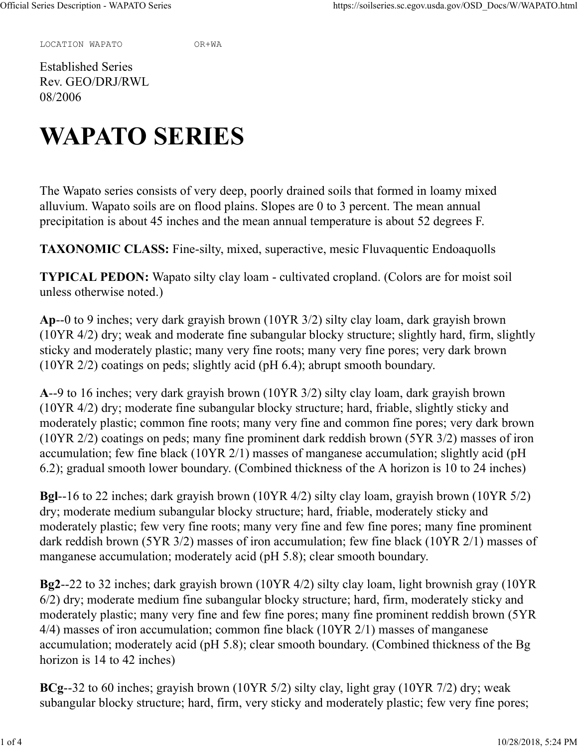LOCATION WAPATO OR+WA

Established Series Rev. GEO/DRJ/RWL 08/2006

## WAPATO SERIES

The Wapato series consists of very deep, poorly drained soils that formed in loamy mixed alluvium. Wapato soils are on flood plains. Slopes are 0 to 3 percent. The mean annual precipitation is about 45 inches and the mean annual temperature is about 52 degrees F.

TAXONOMIC CLASS: Fine-silty, mixed, superactive, mesic Fluvaquentic Endoaquolls

TYPICAL PEDON: Wapato silty clay loam - cultivated cropland. (Colors are for moist soil unless otherwise noted.)

Ap--0 to 9 inches; very dark grayish brown (10YR 3/2) silty clay loam, dark grayish brown (10YR 4/2) dry; weak and moderate fine subangular blocky structure; slightly hard, firm, slightly sticky and moderately plastic; many very fine roots; many very fine pores; very dark brown (10YR 2/2) coatings on peds; slightly acid (pH 6.4); abrupt smooth boundary.

A--9 to 16 inches; very dark grayish brown (10YR 3/2) silty clay loam, dark grayish brown (10YR 4/2) dry; moderate fine subangular blocky structure; hard, friable, slightly sticky and moderately plastic; common fine roots; many very fine and common fine pores; very dark brown (10YR 2/2) coatings on peds; many fine prominent dark reddish brown (5YR 3/2) masses of iron accumulation; few fine black (10YR 2/1) masses of manganese accumulation; slightly acid (pH 6.2); gradual smooth lower boundary. (Combined thickness of the A horizon is 10 to 24 inches)

Bgl--16 to 22 inches; dark grayish brown (10YR 4/2) silty clay loam, grayish brown (10YR 5/2) dry; moderate medium subangular blocky structure; hard, friable, moderately sticky and moderately plastic; few very fine roots; many very fine and few fine pores; many fine prominent dark reddish brown (5YR 3/2) masses of iron accumulation; few fine black (10YR 2/1) masses of manganese accumulation; moderately acid (pH 5.8); clear smooth boundary.

Bg2--22 to 32 inches; dark grayish brown (10YR 4/2) silty clay loam, light brownish gray (10YR 6/2) dry; moderate medium fine subangular blocky structure; hard, firm, moderately sticky and moderately plastic; many very fine and few fine pores; many fine prominent reddish brown (5YR 4/4) masses of iron accumulation; common fine black (10YR 2/1) masses of manganese accumulation; moderately acid (pH 5.8); clear smooth boundary. (Combined thickness of the Bg horizon is 14 to 42 inches)

BCg--32 to 60 inches; grayish brown (10YR 5/2) silty clay, light gray (10YR 7/2) dry; weak subangular blocky structure; hard, firm, very sticky and moderately plastic; few very fine pores;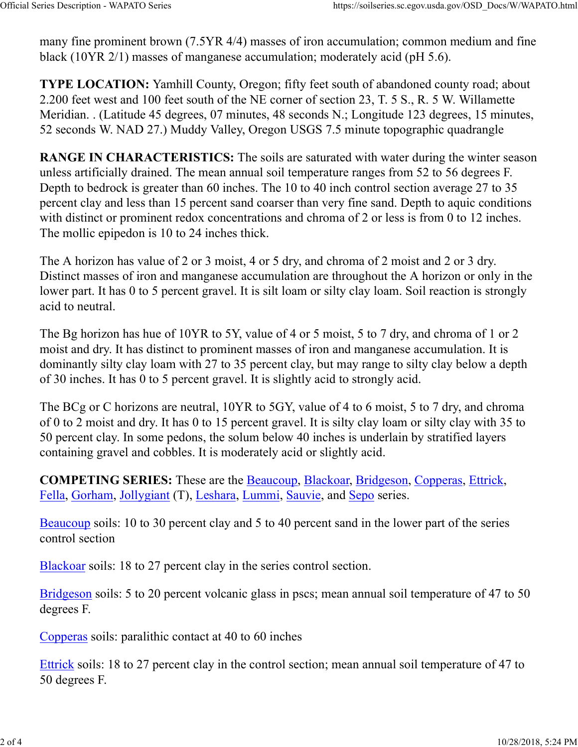many fine prominent brown (7.5YR 4/4) masses of iron accumulation; common medium and fine black (10YR 2/1) masses of manganese accumulation; moderately acid (pH 5.6). Official Series Description - WAPATO Series https://soilseries.sc.egov.usda.gov/OSD\_Docs/W/WAPATO.html<br>many fine prominent brown (7.5YR 4/4) masses of iron accumulation; common medium and fine<br>black (10YR 2/1) masses of ma

TYPE LOCATION: Yamhill County, Oregon; fifty feet south of abandoned county road; about 2.200 feet west and 100 feet south of the NE corner of section 23, T. 5 S., R. 5 W. Willamette Meridian. . (Latitude 45 degrees, 07 minutes, 48 seconds N.; Longitude 123 degrees, 15 minutes, 52 seconds W. NAD 27.) Muddy Valley, Oregon USGS 7.5 minute topographic quadrangle

RANGE IN CHARACTERISTICS: The soils are saturated with water during the winter season unless artificially drained. The mean annual soil temperature ranges from 52 to 56 degrees F. Depth to bedrock is greater than 60 inches. The 10 to 40 inch control section average 27 to 35 percent clay and less than 15 percent sand coarser than very fine sand. Depth to aquic conditions with distinct or prominent redox concentrations and chroma of 2 or less is from 0 to 12 inches. The mollic epipedon is 10 to 24 inches thick.

The A horizon has value of 2 or 3 moist, 4 or 5 dry, and chroma of 2 moist and 2 or 3 dry. Distinct masses of iron and manganese accumulation are throughout the A horizon or only in the lower part. It has 0 to 5 percent gravel. It is silt loam or silty clay loam. Soil reaction is strongly acid to neutral.

The Bg horizon has hue of 10YR to 5Y, value of 4 or 5 moist, 5 to 7 dry, and chroma of 1 or 2 moist and dry. It has distinct to prominent masses of iron and manganese accumulation. It is dominantly silty clay loam with 27 to 35 percent clay, but may range to silty clay below a depth of 30 inches. It has 0 to 5 percent gravel. It is slightly acid to strongly acid.

The BCg or C horizons are neutral, 10YR to 5GY, value of 4 to 6 moist, 5 to 7 dry, and chroma of 0 to 2 moist and dry. It has 0 to 15 percent gravel. It is silty clay loam or silty clay with 35 to 50 percent clay. In some pedons, the solum below 40 inches is underlain by stratified layers containing gravel and cobbles. It is moderately acid or slightly acid.

COMPETING SERIES: These are the Beaucoup, Blackoar, Bridgeson, Copperas, Ettrick, Fella, Gorham, Jollygiant (T), Leshara, Lummi, Sauvie, and Sepo series.

Beaucoup soils: 10 to 30 percent clay and 5 to 40 percent sand in the lower part of the series control section

Blackoar soils: 18 to 27 percent clay in the series control section.

Bridgeson soils: 5 to 20 percent volcanic glass in pscs; mean annual soil temperature of 47 to 50 degrees F.

Copperas soils: paralithic contact at 40 to 60 inches

Ettrick soils: 18 to 27 percent clay in the control section; mean annual soil temperature of 47 to 50 degrees F.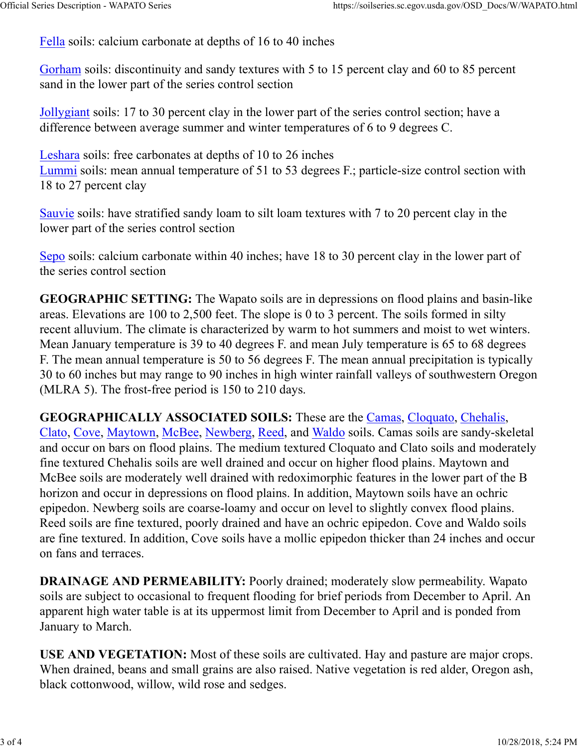Fella soils: calcium carbonate at depths of 16 to 40 inches Official Series Description - WAPATO Series https://soilseries.sc.egov.usda.gov/OSD\_Docs/W/WAPATO.html<br>
Fella soils: calcium carbonate at depths of 16 to 40 inches<br>
Combons soils: discontinuity and sondy taxtures with 5 to

Gorham soils: discontinuity and sandy textures with 5 to 15 percent clay and 60 to 85 percent sand in the lower part of the series control section

Jollygiant soils: 17 to 30 percent clay in the lower part of the series control section; have a difference between average summer and winter temperatures of 6 to 9 degrees C.

Leshara soils: free carbonates at depths of 10 to 26 inches Lummi soils: mean annual temperature of 51 to 53 degrees F.; particle-size control section with 18 to 27 percent clay

Sauvie soils: have stratified sandy loam to silt loam textures with 7 to 20 percent clay in the lower part of the series control section

Sepo soils: calcium carbonate within 40 inches; have 18 to 30 percent clay in the lower part of the series control section

GEOGRAPHIC SETTING: The Wapato soils are in depressions on flood plains and basin-like areas. Elevations are 100 to 2,500 feet. The slope is 0 to 3 percent. The soils formed in silty recent alluvium. The climate is characterized by warm to hot summers and moist to wet winters. Mean January temperature is 39 to 40 degrees F. and mean July temperature is 65 to 68 degrees F. The mean annual temperature is 50 to 56 degrees F. The mean annual precipitation is typically 30 to 60 inches but may range to 90 inches in high winter rainfall valleys of southwestern Oregon (MLRA 5). The frost-free period is 150 to 210 days.

GEOGRAPHICALLY ASSOCIATED SOILS: These are the Camas, Cloquato, Chehalis, Clato, Cove, Maytown, McBee, Newberg, Reed, and Waldo soils. Camas soils are sandy-skeletal and occur on bars on flood plains. The medium textured Cloquato and Clato soils and moderately fine textured Chehalis soils are well drained and occur on higher flood plains. Maytown and McBee soils are moderately well drained with redoximorphic features in the lower part of the B horizon and occur in depressions on flood plains. In addition, Maytown soils have an ochric epipedon. Newberg soils are coarse-loamy and occur on level to slightly convex flood plains. Reed soils are fine textured, poorly drained and have an ochric epipedon. Cove and Waldo soils are fine textured. In addition, Cove soils have a mollic epipedon thicker than 24 inches and occur on fans and terraces.

DRAINAGE AND PERMEABILITY: Poorly drained; moderately slow permeability. Wapato soils are subject to occasional to frequent flooding for brief periods from December to April. An apparent high water table is at its uppermost limit from December to April and is ponded from January to March.

USE AND VEGETATION: Most of these soils are cultivated. Hay and pasture are major crops. When drained, beans and small grains are also raised. Native vegetation is red alder, Oregon ash, black cottonwood, willow, wild rose and sedges.